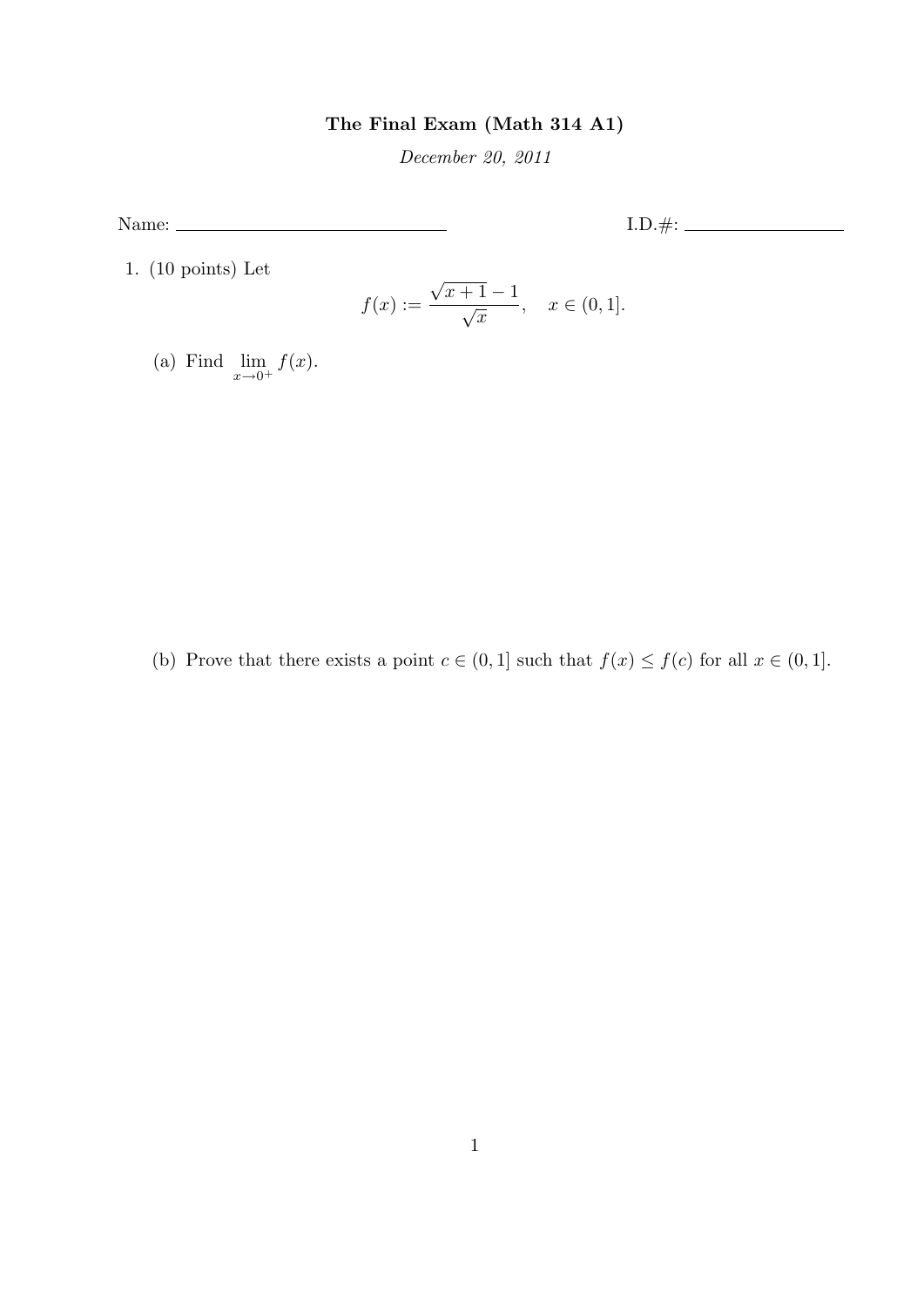## The Final Exam (Math 314 A1)

December 20, 2011

Name: I.D.#:

1. (10 points) Let

$$
f(x) := \frac{\sqrt{x+1} - 1}{\sqrt{x}}, \quad x \in (0, 1].
$$

(a) Find  $\lim_{x\to 0^+} f(x)$ .

(b) Prove that there exists a point  $c \in (0,1]$  such that  $f(x) \le f(c)$  for all  $x \in (0,1]$ .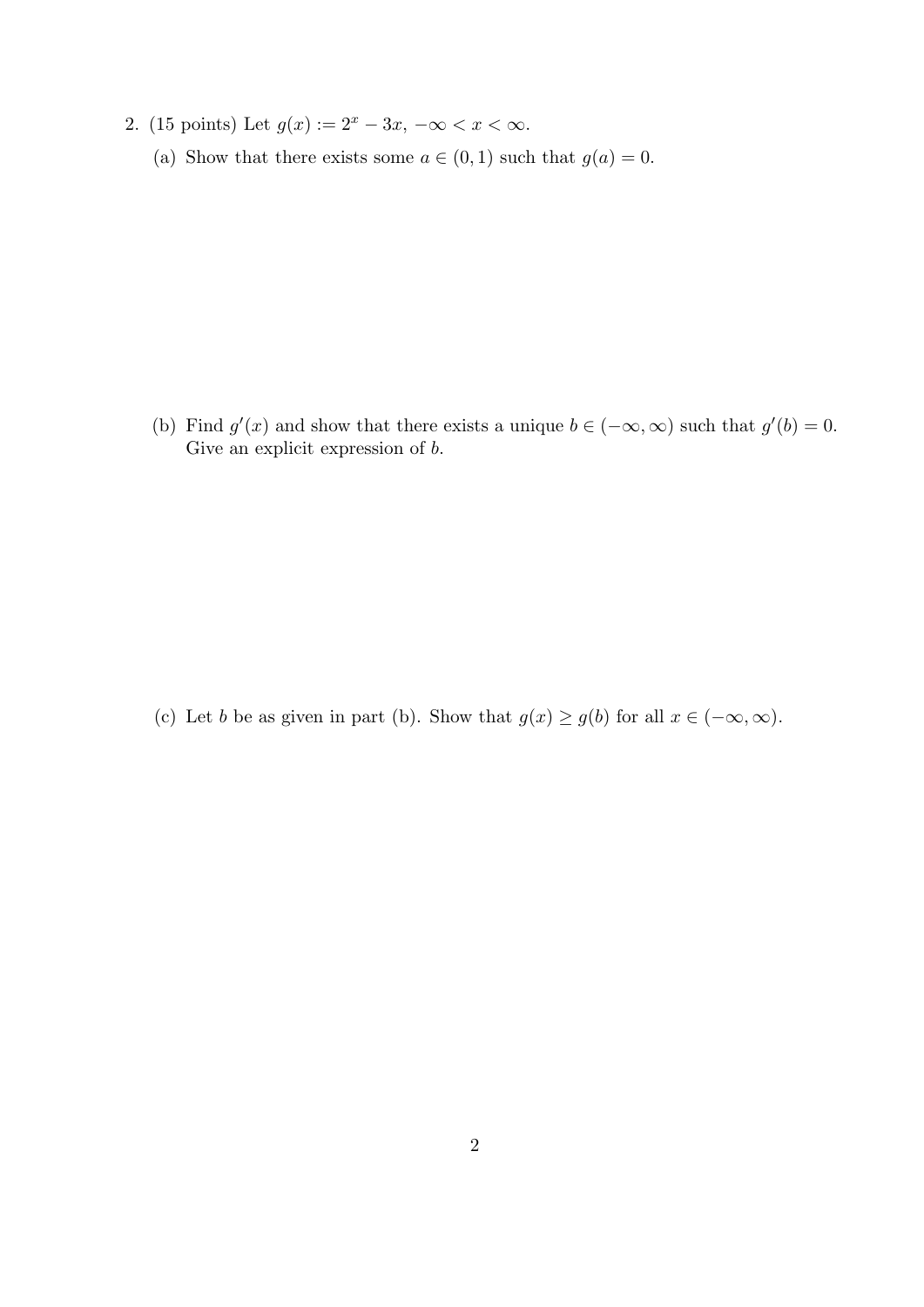- 2. (15 points) Let  $g(x) := 2^x 3x, -\infty < x < \infty$ .
	- (a) Show that there exists some  $a \in (0,1)$  such that  $g(a) = 0$ .

(b) Find  $g'(x)$  and show that there exists a unique  $b \in (-\infty, \infty)$  such that  $g'(b) = 0$ . Give an explicit expression of  $b$ .

(c) Let b be as given in part (b). Show that  $g(x) \ge g(b)$  for all  $x \in (-\infty, \infty)$ .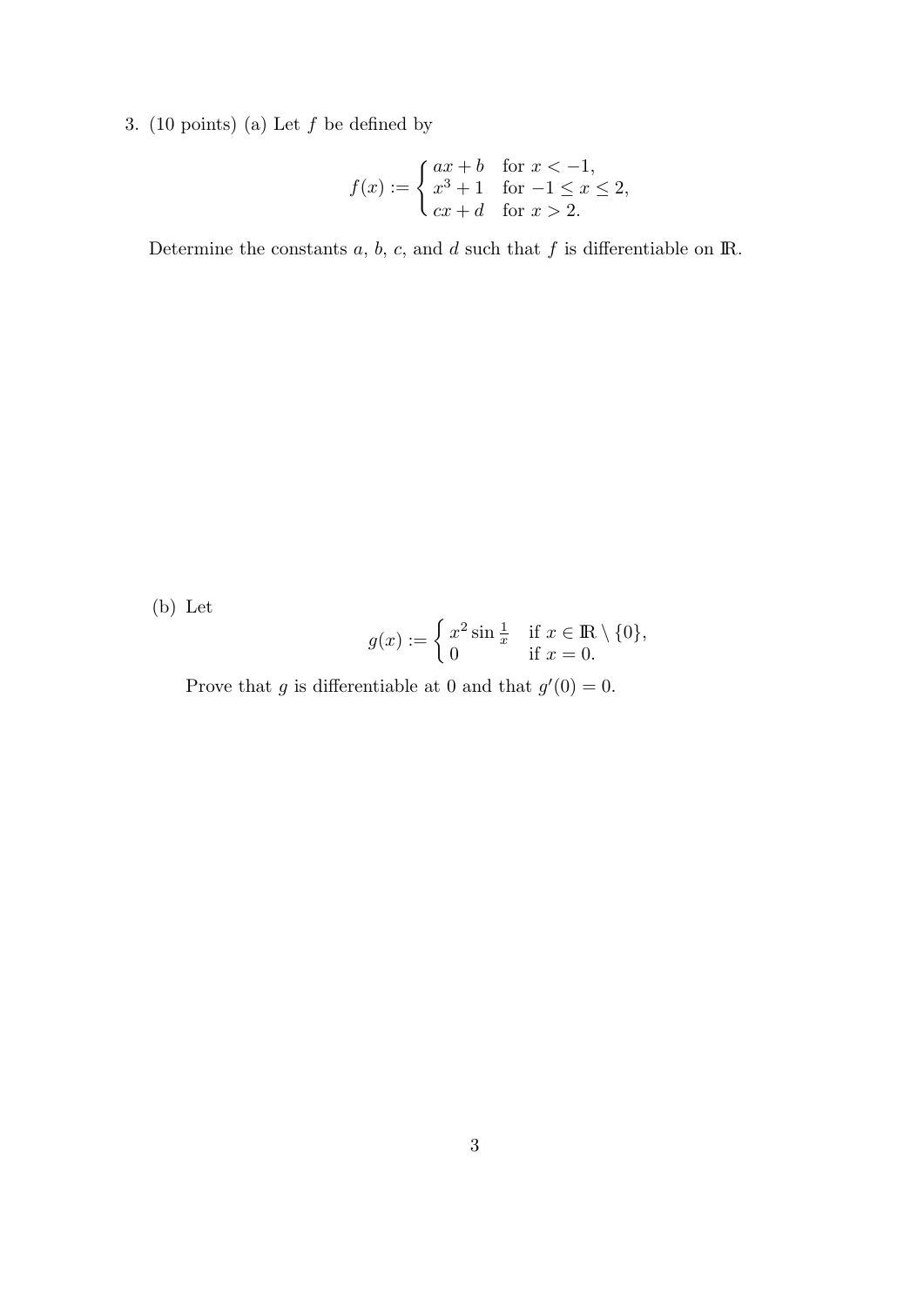3. (10 points) (a) Let  $f$  be defined by

$$
f(x) := \begin{cases} ax + b & \text{for } x < -1, \\ x^3 + 1 & \text{for } -1 \le x \le 2, \\ cx + d & \text{for } x > 2. \end{cases}
$$

Determine the constants  $a, b, c$ , and  $d$  such that  $f$  is differentiable on  $\mathbb{R}$ .

(b) Let

$$
g(x) := \begin{cases} x^2 \sin \frac{1}{x} & \text{if } x \in \mathbb{R} \setminus \{0\}, \\ 0 & \text{if } x = 0. \end{cases}
$$

Prove that g is differentiable at 0 and that  $g'(0) = 0$ .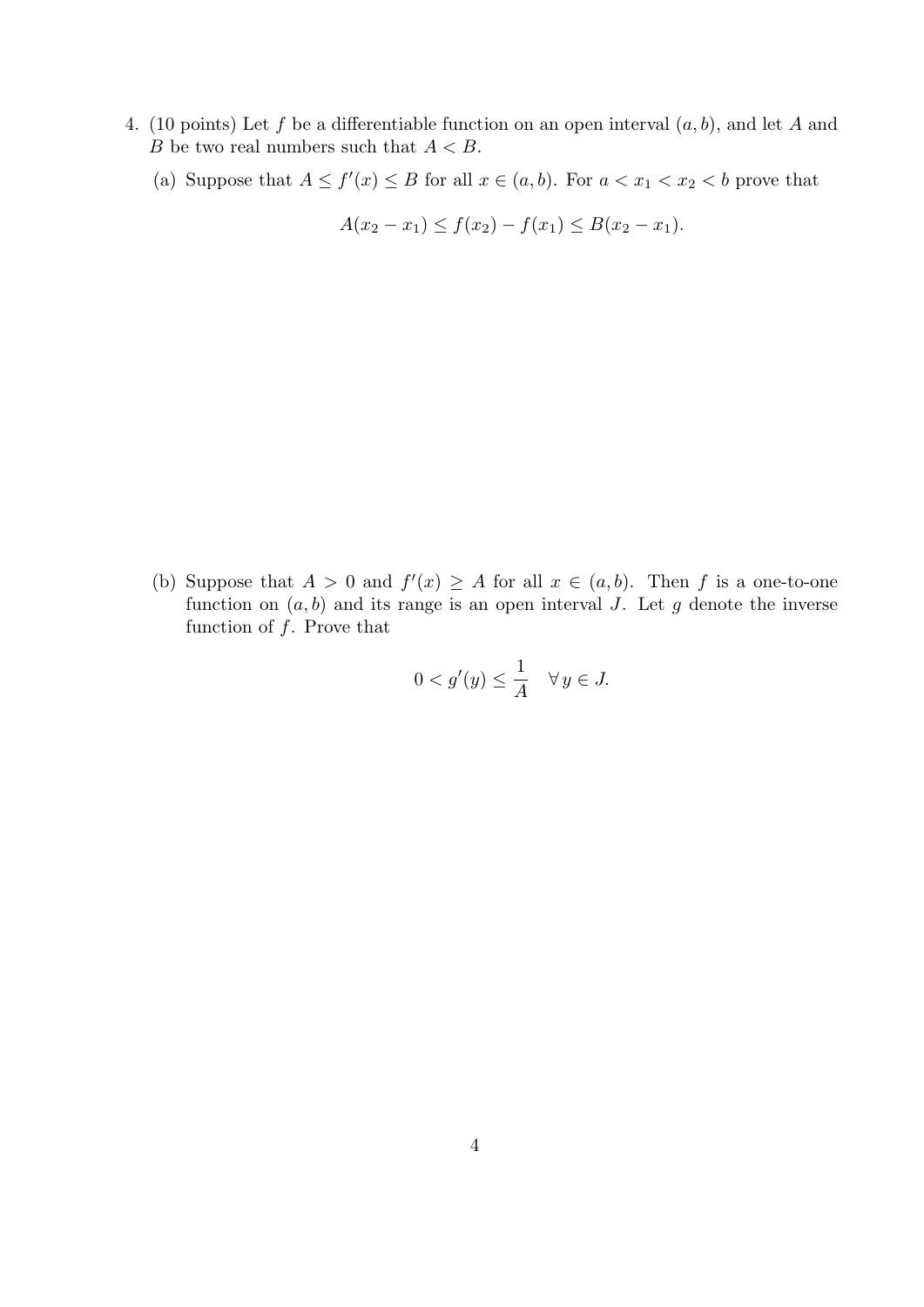- 4. (10 points) Let f be a differentiable function on an open interval  $(a, b)$ , and let A and B be two real numbers such that  $A < B$ .
	- (a) Suppose that  $A \le f'(x) \le B$  for all  $x \in (a, b)$ . For  $a < x_1 < x_2 < b$  prove that

$$
A(x_2 - x_1) \le f(x_2) - f(x_1) \le B(x_2 - x_1).
$$

(b) Suppose that  $A > 0$  and  $f'(x) \geq A$  for all  $x \in (a, b)$ . Then f is a one-to-one function on  $(a, b)$  and its range is an open interval J. Let g denote the inverse function of  $f$ . Prove that

$$
0 < g'(y) \leq \frac{1}{A} \quad \forall \, y \in J.
$$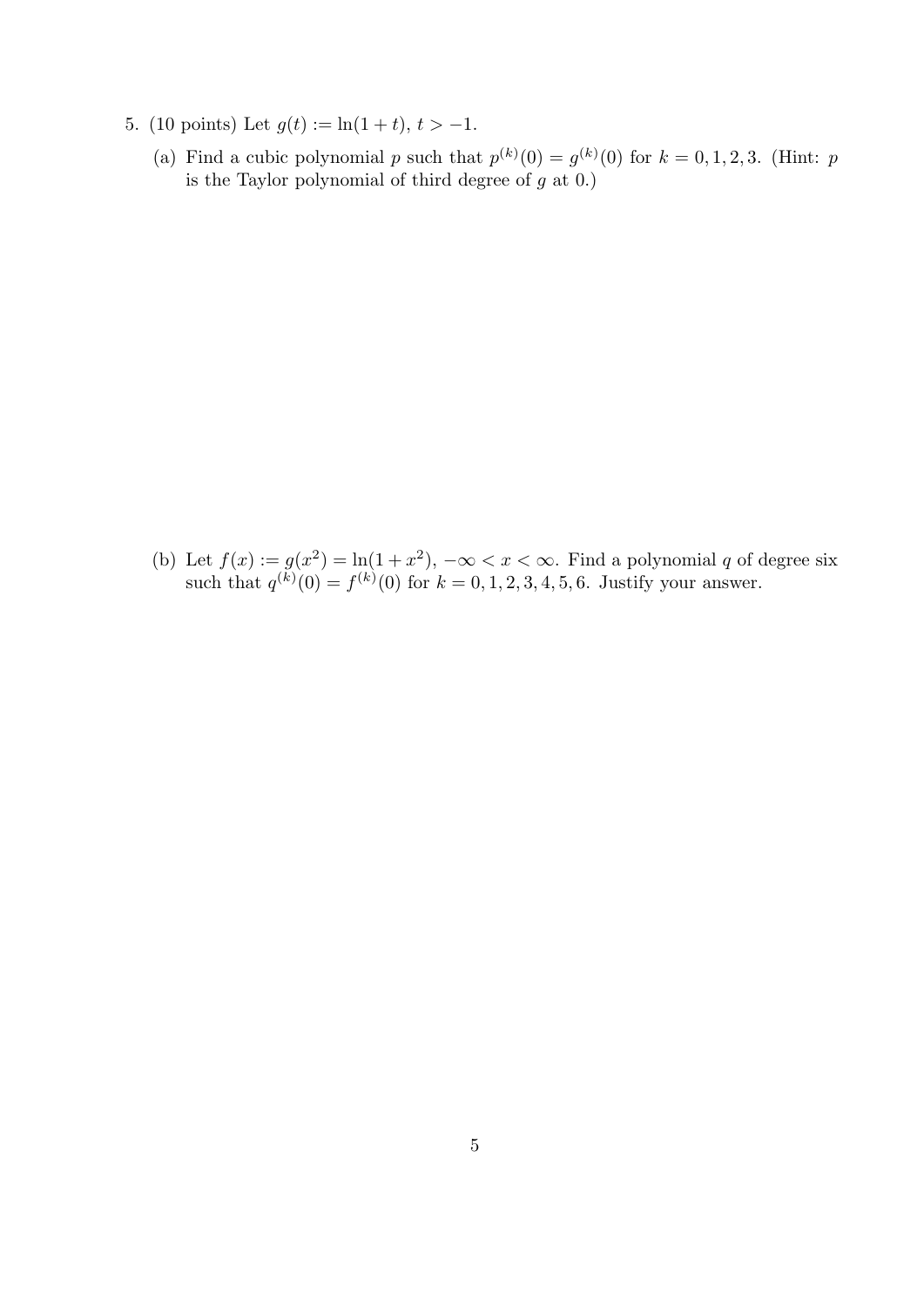- 5. (10 points) Let  $g(t) := \ln(1+t), t > -1$ .
	- (a) Find a cubic polynomial p such that  $p^{(k)}(0) = g^{(k)}(0)$  for  $k = 0, 1, 2, 3$ . (Hint: p is the Taylor polynomial of third degree of  $g$  at  $(0.1)$

(b) Let  $f(x) := g(x^2) = \ln(1+x^2)$ ,  $-\infty < x < \infty$ . Find a polynomial q of degree six such that  $q^{(k)}(0) = f^{(k)}(0)$  for  $k = 0, 1, 2, 3, 4, 5, 6$ . Justify your answer.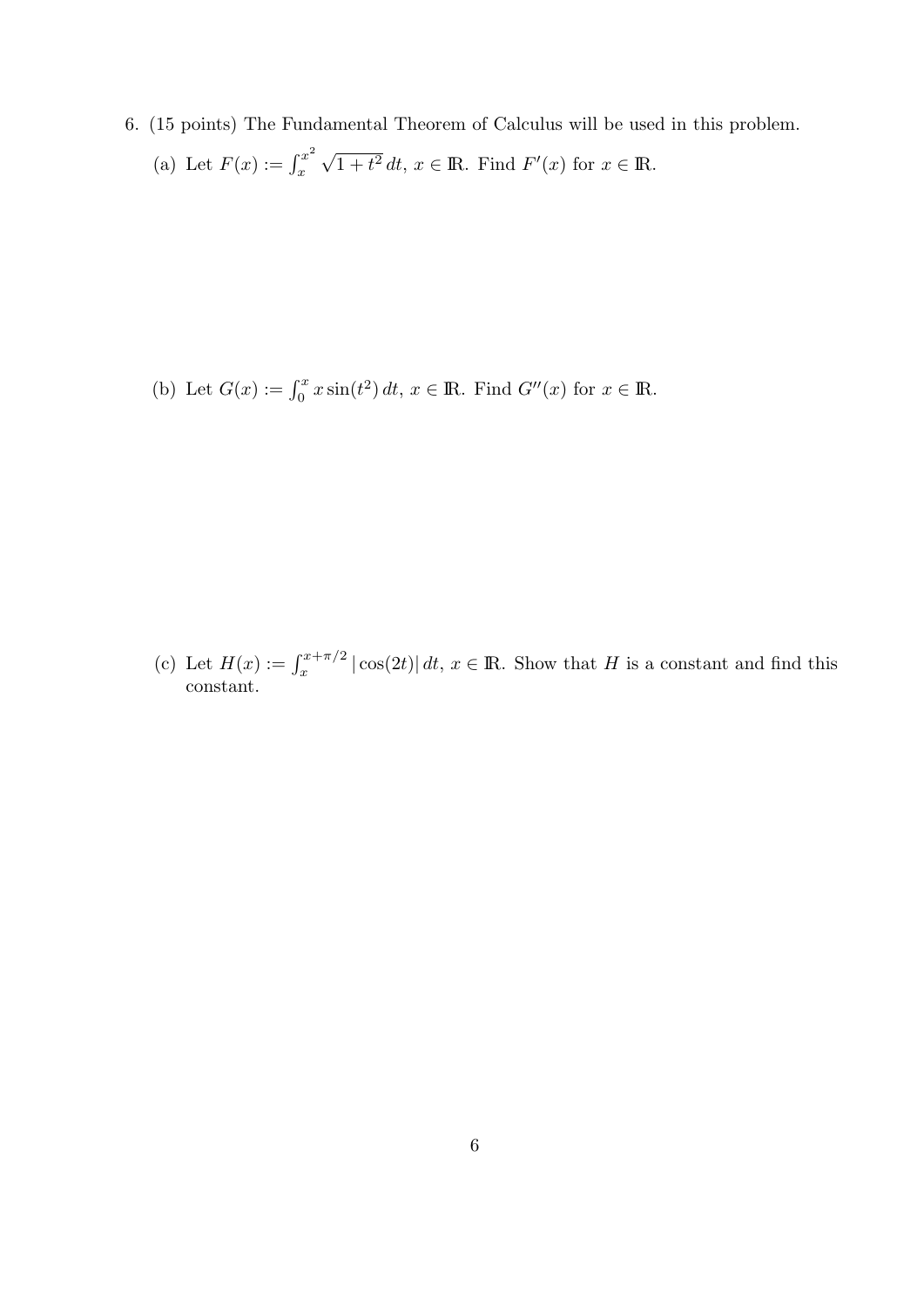6. (15 points) The Fundamental Theorem of Calculus will be used in this problem. (a) Let  $F(x) := \int_x^{x^2}$ x √  $\overline{1+t^2} dt$ ,  $x \in \mathbb{R}$ . Find  $F'(x)$  for  $x \in \mathbb{R}$ .

(b) Let  $G(x) := \int_0^x x \sin(t^2) dt$ ,  $x \in \mathbb{R}$ . Find  $G''(x)$  for  $x \in \mathbb{R}$ .

(c) Let  $H(x) := \int_x^{x+\pi/2} |\cos(2t)| dt$ ,  $x \in \mathbb{R}$ . Show that H is a constant and find this constant.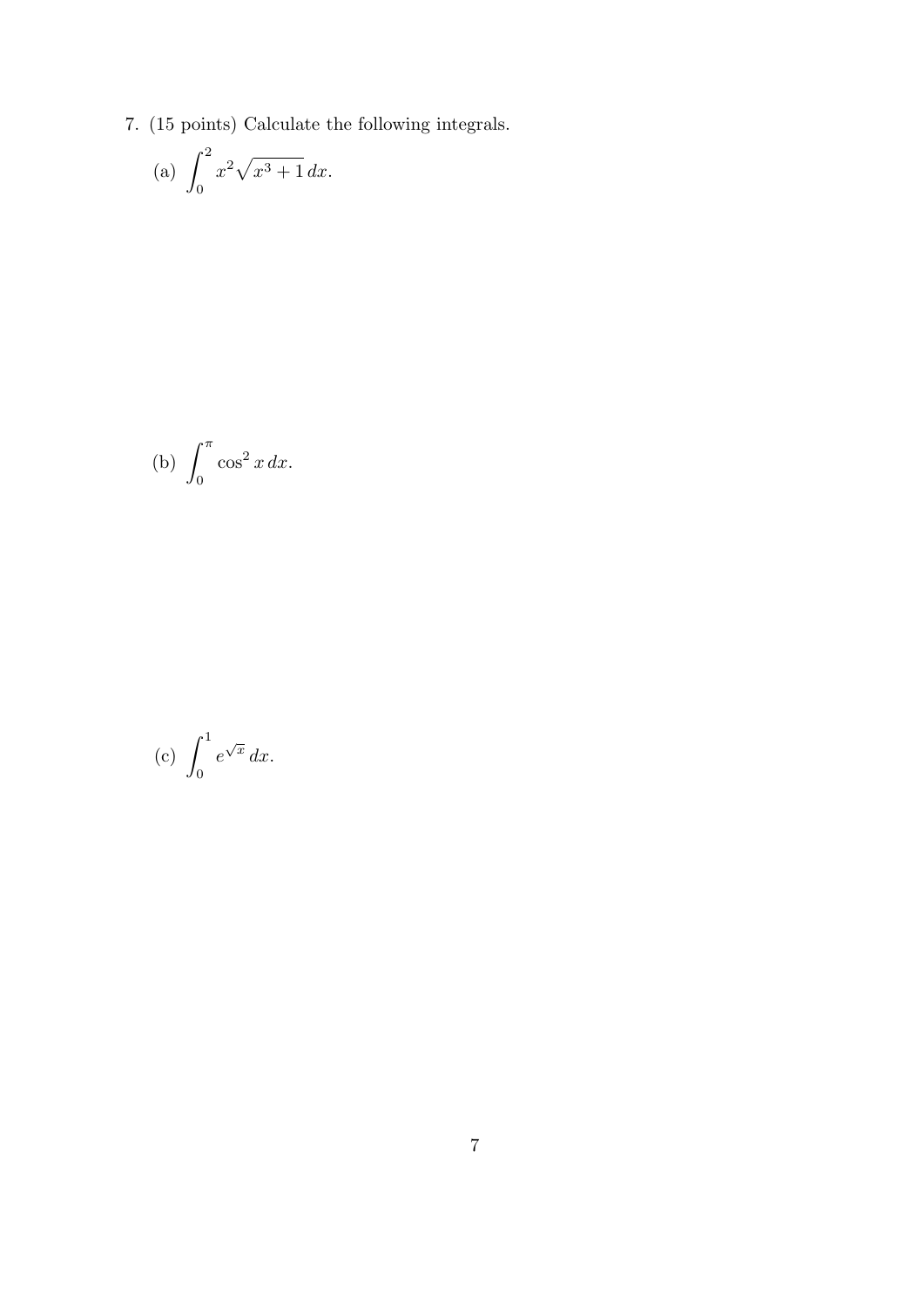7. (15 points) Calculate the following integrals.

(a) 
$$
\int_0^2 x^2 \sqrt{x^3 + 1} \, dx
$$
.

(b) 
$$
\int_0^{\pi} \cos^2 x \, dx.
$$

$$
(c) \int_0^1 e^{\sqrt{x}} dx.
$$